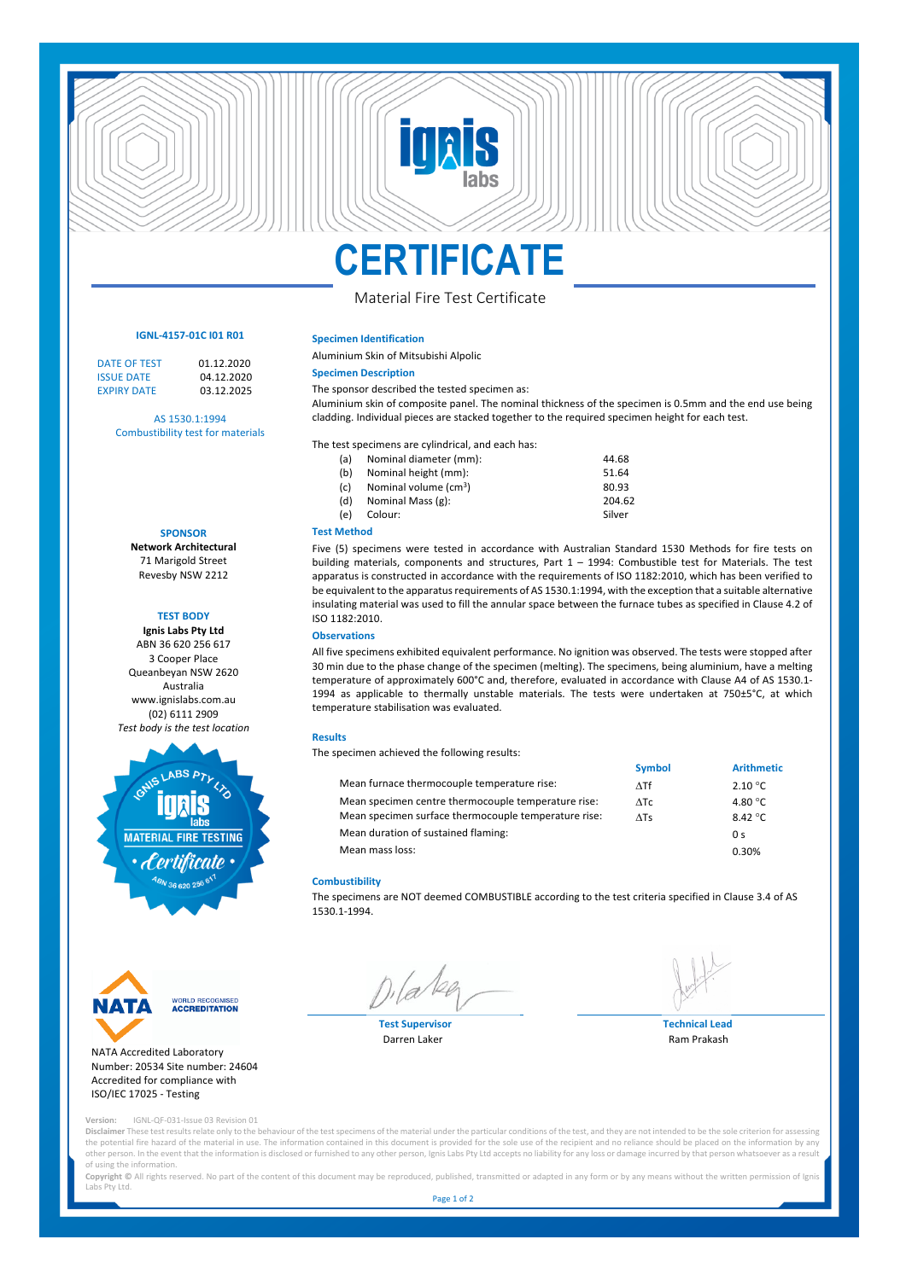# **CERTIFICATE**

**TR** 

# Material Fire Test Certificate

#### **IGNL-4157-01C I01 R01**

DATE OF TEST 01.12.2020<br>ISSUE DATE 04.12.2020 **ISSUE DATE** 04.12.2020<br> **EXPIRY DATE** 03.12.2025 EXPIRY DATE 03.12.2025

AS 1530.1:1994

Combustibility test for materials

**SPONSOR Network Architectural**

71 Marigold Street Revesby NSW 2212

## **TEST BODY**

**Ignis Labs Pty Ltd** ABN 36 620 256 617 3 Cooper Place Queanbeyan NSW 2620 Australia www.ignislabs.com.au (02) 6111 2909 *Test body is the test location*





#### NATA Accredited Laboratory Number: 20534 Site number: 24604 Accredited for compliance with ISO/IEC 17025 - Testing

**Version:** IGNL-QF-031-Issue 03 Revision 01

**Disclaimer** These test results relate only to the behaviour of the test specimens of the material under the particular conditions of the test, and they are not intended to be the sole criterion for assessing the potential fire hazard of the material in use. The information contained in this document is provided for the sole use of the recipient and no reliance should be placed on the information by any other person. In the event that the information is disclosed or furnished to any other person, Ignis Labs Pty Ltd accepts no liability for any loss or damage incurred by that person whatsoever as a result of using the information.

Copyright © All rights reserved. No part of the content of this document may be reproduced, published, transmitted or adapted in any form or by any means without the written permission of Ignis Labs Pty Ltd.

Page 1 of 2



**Technical Lead** Ram Prakash

All five specimens exhibited equivalent performance. No ignition was observed. The tests were stopped after 30 min due to the phase change of the specimen (melting). The specimens, being aluminium, have a melting temperature of approximately 600°C and, therefore, evaluated in accordance with Clause A4 of AS 1530.1- 1994 as applicable to thermally unstable materials. The tests were undertaken at 750±5°C, at which

|                                                      | <b>Symbol</b> | <b>Arithmetic</b> |
|------------------------------------------------------|---------------|-------------------|
| Mean furnace thermocouple temperature rise:          | $\Delta T f$  | $2.10\degree$ C   |
| Mean specimen centre thermocouple temperature rise:  | ATC           | 4.80 $\degree$ C  |
| Mean specimen surface thermocouple temperature rise: | $\Delta$ Ts   | 8.42 °C           |
| Mean duration of sustained flaming:                  |               | 0 <sup>s</sup>    |
| Mean mass loss:                                      |               | 0.30%             |

#### **Combustibility**

The specimens are NOT deemed COMBUSTIBLE according to the test criteria specified in Clause 3.4 of AS 1530.1-1994.

# Aluminium skin of composite panel. The nominal thickness of the specimen is 0.5mm and the end use being cladding. Individual pieces are stacked together to the required specimen height for each test.

Aluminium Skin of Mitsubishi Alpolic

The sponsor described the tested specimen as:

**Specimen Identification**

**Specimen Description**

|     | The test specimens are cylindrical, and each has: |        |
|-----|---------------------------------------------------|--------|
| (a) | Nominal diameter (mm):                            | 44.68  |
| (b) | Nominal height (mm):                              | 51.64  |
| (c) | Nominal volume (cm <sup>3</sup> )                 | 80.93  |
| (d) | Nominal Mass (g):                                 | 204.62 |
| (e) | Colour:                                           | Silver |

#### **Test Method**

Five (5) specimens were tested in accordance with Australian Standard 1530 Methods for fire tests on building materials, components and structures, Part 1 – 1994: Combustible test for Materials. The test apparatus is constructed in accordance with the requirements of ISO 1182:2010, which has been verified to be equivalent to the apparatus requirements of AS 1530.1:1994, with the exception that a suitable alternative insulating material was used to fill the annular space between the furnace tubes as specified in Clause 4.2 of ISO 1182:2010.

#### **Observations**

temperature stabilisation was evaluated.

#### **Results**

The specimen achieved the following results:

**Test Supervisor** Darren Laker